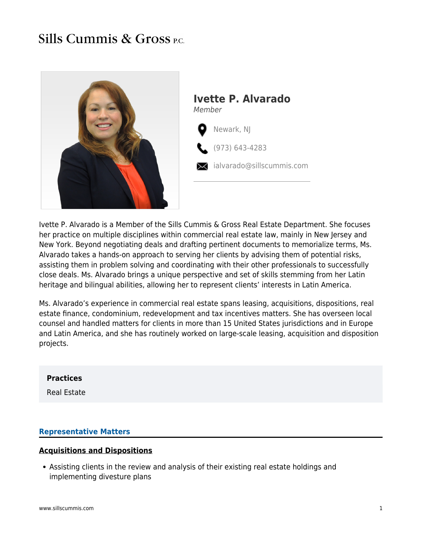## Sills Cummis & Gross P.C.



Ivette P. Alvarado is a Member of the Sills Cummis & Gross Real Estate Department. She focuses her practice on multiple disciplines within commercial real estate law, mainly in New Jersey and New York. Beyond negotiating deals and drafting pertinent documents to memorialize terms, Ms. Alvarado takes a hands-on approach to serving her clients by advising them of potential risks, assisting them in problem solving and coordinating with their other professionals to successfully close deals. Ms. Alvarado brings a unique perspective and set of skills stemming from her Latin heritage and bilingual abilities, allowing her to represent clients' interests in Latin America.

Ms. Alvarado's experience in commercial real estate spans leasing, acquisitions, dispositions, real estate finance, condominium, redevelopment and tax incentives matters. She has overseen local counsel and handled matters for clients in more than 15 United States jurisdictions and in Europe and Latin America, and she has routinely worked on large-scale leasing, acquisition and disposition projects.

### **Practices**

Real Estate

### **Representative Matters**

### **Acquisitions and Dispositions**

Assisting clients in the review and analysis of their existing real estate holdings and implementing divesture plans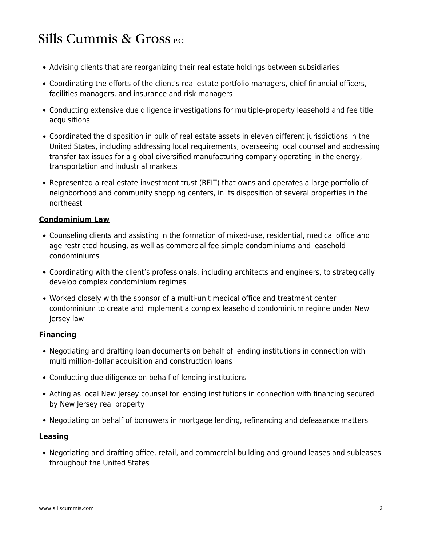- Advising clients that are reorganizing their real estate holdings between subsidiaries
- Coordinating the efforts of the client's real estate portfolio managers, chief financial officers, facilities managers, and insurance and risk managers
- Conducting extensive due diligence investigations for multiple-property leasehold and fee title acquisitions
- Coordinated the disposition in bulk of real estate assets in eleven different jurisdictions in the United States, including addressing local requirements, overseeing local counsel and addressing transfer tax issues for a global diversified manufacturing company operating in the energy, transportation and industrial markets
- Represented a real estate investment trust (REIT) that owns and operates a large portfolio of neighborhood and community shopping centers, in its disposition of several properties in the northeast

## **Condominium Law**

- Counseling clients and assisting in the formation of mixed-use, residential, medical office and age restricted housing, as well as commercial fee simple condominiums and leasehold condominiums
- Coordinating with the client's professionals, including architects and engineers, to strategically develop complex condominium regimes
- Worked closely with the sponsor of a multi-unit medical office and treatment center condominium to create and implement a complex leasehold condominium regime under New Jersey law

## **Financing**

- Negotiating and drafting loan documents on behalf of lending institutions in connection with multi million-dollar acquisition and construction loans
- Conducting due diligence on behalf of lending institutions
- Acting as local New Jersey counsel for lending institutions in connection with financing secured by New Jersey real property
- Negotiating on behalf of borrowers in mortgage lending, refinancing and defeasance matters

### **Leasing**

Negotiating and drafting office, retail, and commercial building and ground leases and subleases throughout the United States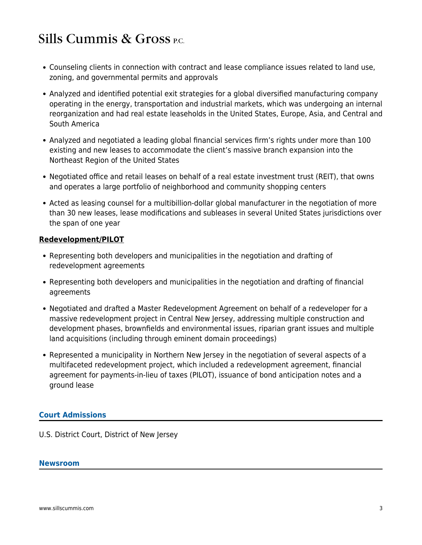- Counseling clients in connection with contract and lease compliance issues related to land use, zoning, and governmental permits and approvals
- Analyzed and identified potential exit strategies for a global diversified manufacturing company operating in the energy, transportation and industrial markets, which was undergoing an internal reorganization and had real estate leaseholds in the United States, Europe, Asia, and Central and South America
- Analyzed and negotiated a leading global financial services firm's rights under more than 100 existing and new leases to accommodate the client's massive branch expansion into the Northeast Region of the United States
- Negotiated office and retail leases on behalf of a real estate investment trust (REIT), that owns and operates a large portfolio of neighborhood and community shopping centers
- Acted as leasing counsel for a multibillion-dollar global manufacturer in the negotiation of more than 30 new leases, lease modifications and subleases in several United States jurisdictions over the span of one year

### **Redevelopment/PILOT**

- Representing both developers and municipalities in the negotiation and drafting of redevelopment agreements
- Representing both developers and municipalities in the negotiation and drafting of financial agreements
- Negotiated and drafted a Master Redevelopment Agreement on behalf of a redeveloper for a massive redevelopment project in Central New Jersey, addressing multiple construction and development phases, brownfields and environmental issues, riparian grant issues and multiple land acquisitions (including through eminent domain proceedings)
- Represented a municipality in Northern New Jersey in the negotiation of several aspects of a multifaceted redevelopment project, which included a redevelopment agreement, financial agreement for payments-in-lieu of taxes (PILOT), issuance of bond anticipation notes and a ground lease

## **Court Admissions**

U.S. District Court, District of New Jersey

### **Newsroom**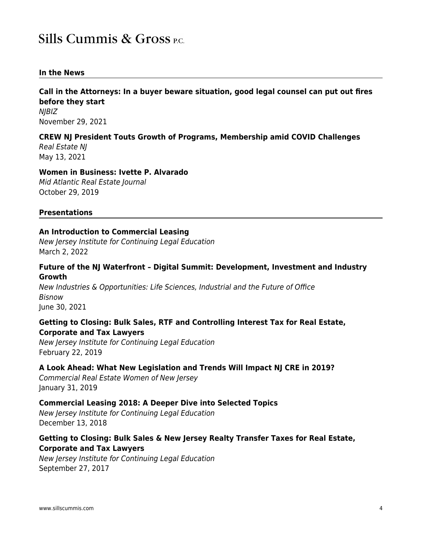### **In the News**

**Call in the Attorneys: In a buyer beware situation, good legal counsel can put out fires before they start** NJBIZ November 29, 2021

### **CREW NJ President Touts Growth of Programs, Membership amid COVID Challenges**

Real Estate NJ May 13, 2021

### **Women in Business: Ivette P. Alvarado**

Mid Atlantic Real Estate Journal October 29, 2019

### **Presentations**

### **An Introduction to Commercial Leasing**

New Jersey Institute for Continuing Legal Education March 2, 2022

### **Future of the NJ Waterfront – Digital Summit: Development, Investment and Industry Growth**

New Industries & Opportunities: Life Sciences, Industrial and the Future of Office Bisnow June 30, 2021

### **Getting to Closing: Bulk Sales, RTF and Controlling Interest Tax for Real Estate, Corporate and Tax Lawyers**

New Jersey Institute for Continuing Legal Education February 22, 2019

### **A Look Ahead: What New Legislation and Trends Will Impact NJ CRE in 2019?**

Commercial Real Estate Women of New Jersey January 31, 2019

### **Commercial Leasing 2018: A Deeper Dive into Selected Topics**

New Jersey Institute for Continuing Legal Education December 13, 2018

## **Getting to Closing: Bulk Sales & New Jersey Realty Transfer Taxes for Real Estate, Corporate and Tax Lawyers**

New Jersey Institute for Continuing Legal Education September 27, 2017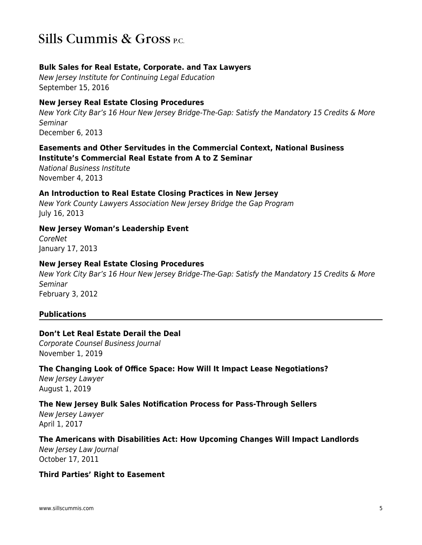### **Bulk Sales for Real Estate, Corporate. and Tax Lawyers**

New Jersey Institute for Continuing Legal Education September 15, 2016

### **New Jersey Real Estate Closing Procedures**

New York City Bar's 16 Hour New Jersey Bridge-The-Gap: Satisfy the Mandatory 15 Credits & More Seminar December 6, 2013

### **Easements and Other Servitudes in the Commercial Context, National Business Institute's Commercial Real Estate from A to Z Seminar**

National Business Institute November 4, 2013

### **An Introduction to Real Estate Closing Practices in New Jersey**

New York County Lawyers Association New Jersey Bridge the Gap Program July 16, 2013

### **New Jersey Woman's Leadership Event**

CoreNet January 17, 2013

### **New Jersey Real Estate Closing Procedures**

New York City Bar's 16 Hour New Jersey Bridge-The-Gap: Satisfy the Mandatory 15 Credits & More Seminar February 3, 2012

## **Publications**

## **Don't Let Real Estate Derail the Deal**

Corporate Counsel Business Journal November 1, 2019

## **The Changing Look of Office Space: How Will It Impact Lease Negotiations?**

New Jersey Lawyer August 1, 2019

## **The New Jersey Bulk Sales Notification Process for Pass-Through Sellers**

New Jersey Lawyer April 1, 2017

### **The Americans with Disabilities Act: How Upcoming Changes Will Impact Landlords**

New Jersey Law Journal October 17, 2011

### **Third Parties' Right to Easement**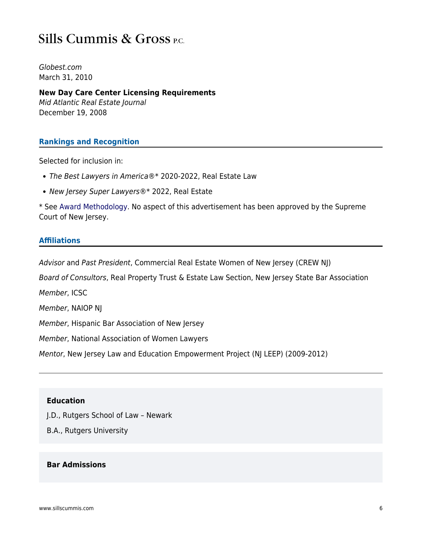## Sills Cummis & Gross P.C.

Globest.com March 31, 2010

**New Day Care Center Licensing Requirements** Mid Atlantic Real Estate Journal December 19, 2008

### **Rankings and Recognition**

Selected for inclusion in:

- The Best Lawyers in America®\* 2020-2022, Real Estate Law
- New Jersey Super Lawyers®\* 2022, Real Estate

\* See [Award Methodology.](https://www.sillscummis.com/award-methodology) No aspect of this advertisement has been approved by the Supreme Court of New Jersey.

### **Affiliations**

Advisor and Past President, Commercial Real Estate Women of New Jersey (CREW NJ)

Board of Consultors, Real Property Trust & Estate Law Section, New Jersey State Bar Association

Member, ICSC

Member, NAIOP NJ

Member, Hispanic Bar Association of New Jersey

Member, National Association of Women Lawyers

Mentor, New Jersey Law and Education Empowerment Project (NJ LEEP) (2009-2012)

### **Education**

J.D., Rutgers School of Law – Newark

B.A., Rutgers University

### **Bar Admissions**